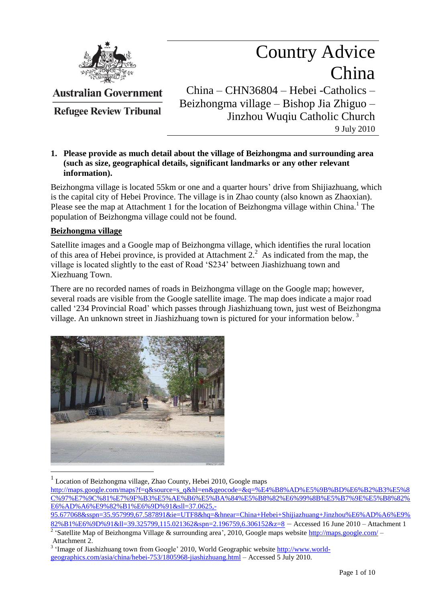

Country Advice China China – CHN36804 – Hebei -Catholics – Beizhongma village – Bishop Jia Zhiguo –

Jinzhou Wuqiu Catholic Church

9 July 2010

**Refugee Review Tribunal** 

**Australian Government** 

# **1. Please provide as much detail about the village of Beizhongma and surrounding area (such as size, geographical details, significant landmarks or any other relevant information).**

Beizhongma village is located 55km or one and a quarter hours' drive from Shijiazhuang, which is the capital city of Hebei Province. The village is in Zhao county (also known as Zhaoxian). Please see the map at Attachment 1 for the location of Beizhongma village within China.<sup>1</sup> The population of Beizhongma village could not be found.

## **Beizhongma village**

Satellite images and a Google map of Beizhongma village, which identifies the rural location of this area of Hebei province, is provided at Attachment  $2<sup>2</sup>$ . As indicated from the map, the village is located slightly to the east of Road "S234" between Jiashizhuang town and Xiezhuang Town.

There are no recorded names of roads in Beizhongma village on the Google map; however, several roads are visible from the Google satellite image. The map does indicate a major road called "234 Provincial Road" which passes through Jiashizhuang town, just west of Beizhongma village. An unknown street in Jiashizhuang town is pictured for your information below.<sup>3</sup>



<sup>1</sup> Location of Beizhongma village, Zhao County, Hebei 2010, Google maps

[http://maps.google.com/maps?f=q&source=s\\_q&hl=en&geocode=&q=%E4%B8%AD%E5%9B%BD%E6%B2%B3%E5%8](http://maps.google.com/maps?f=q&source=s_q&hl=en&geocode=&q=%E4%B8%AD%E5%9B%BD%E6%B2%B3%E5%8C%97%E7%9C%81%E7%9F%B3%E5%AE%B6%E5%BA%84%E5%B8%82%E6%99%8B%E5%B7%9E%E5%B8%82%E6%AD%A6%E9%82%B1%E6%9D%91&sll=37.0625,-95.677068&sspn=35.957999,67.587891&ie=UTF8&hq=&hnear=China+Hebei+Shijiazhuang+Jinzhou%E6%AD%A6%E9%82%B1%E6%9D%91&ll=39.325799,115.021362&spn=2.196759,6.306152&z=8) [C%97%E7%9C%81%E7%9F%B3%E5%AE%B6%E5%BA%84%E5%B8%82%E6%99%8B%E5%B7%9E%E5%B8%82%](http://maps.google.com/maps?f=q&source=s_q&hl=en&geocode=&q=%E4%B8%AD%E5%9B%BD%E6%B2%B3%E5%8C%97%E7%9C%81%E7%9F%B3%E5%AE%B6%E5%BA%84%E5%B8%82%E6%99%8B%E5%B7%9E%E5%B8%82%E6%AD%A6%E9%82%B1%E6%9D%91&sll=37.0625,-95.677068&sspn=35.957999,67.587891&ie=UTF8&hq=&hnear=China+Hebei+Shijiazhuang+Jinzhou%E6%AD%A6%E9%82%B1%E6%9D%91&ll=39.325799,115.021362&spn=2.196759,6.306152&z=8) [E6%AD%A6%E9%82%B1%E6%9D%91&sll=37.0625,-](http://maps.google.com/maps?f=q&source=s_q&hl=en&geocode=&q=%E4%B8%AD%E5%9B%BD%E6%B2%B3%E5%8C%97%E7%9C%81%E7%9F%B3%E5%AE%B6%E5%BA%84%E5%B8%82%E6%99%8B%E5%B7%9E%E5%B8%82%E6%AD%A6%E9%82%B1%E6%9D%91&sll=37.0625,-95.677068&sspn=35.957999,67.587891&ie=UTF8&hq=&hnear=China+Hebei+Shijiazhuang+Jinzhou%E6%AD%A6%E9%82%B1%E6%9D%91&ll=39.325799,115.021362&spn=2.196759,6.306152&z=8)

[<sup>95.677068&</sup>amp;sspn=35.957999,67.587891&ie=UTF8&hq=&hnear=China+Hebei+Shijiazhuang+Jinzhou%E6%AD%A6%E9%](http://maps.google.com/maps?f=q&source=s_q&hl=en&geocode=&q=%E4%B8%AD%E5%9B%BD%E6%B2%B3%E5%8C%97%E7%9C%81%E7%9F%B3%E5%AE%B6%E5%BA%84%E5%B8%82%E6%99%8B%E5%B7%9E%E5%B8%82%E6%AD%A6%E9%82%B1%E6%9D%91&sll=37.0625,-95.677068&sspn=35.957999,67.587891&ie=UTF8&hq=&hnear=China+Hebei+Shijiazhuang+Jinzhou%E6%AD%A6%E9%82%B1%E6%9D%91&ll=39.325799,115.021362&spn=2.196759,6.306152&z=8) [82%B1%E6%9D%91&ll=39.325799,115.021362&spn=2.196759,6.306152&z=8](http://maps.google.com/maps?f=q&source=s_q&hl=en&geocode=&q=%E4%B8%AD%E5%9B%BD%E6%B2%B3%E5%8C%97%E7%9C%81%E7%9F%B3%E5%AE%B6%E5%BA%84%E5%B8%82%E6%99%8B%E5%B7%9E%E5%B8%82%E6%AD%A6%E9%82%B1%E6%9D%91&sll=37.0625,-95.677068&sspn=35.957999,67.587891&ie=UTF8&hq=&hnear=China+Hebei+Shijiazhuang+Jinzhou%E6%AD%A6%E9%82%B1%E6%9D%91&ll=39.325799,115.021362&spn=2.196759,6.306152&z=8) – Accessed 16 June 2010 – Attachment 1

<sup>&</sup>lt;sup>2</sup> 'Satellite Map of Beizhongma Village & surrounding area', 2010, Google maps website <http://maps.google.com/> – Attachment 2.

<sup>&</sup>lt;sup>3</sup> 'Image of Jiashizhuang town from Google' 2010, World Geographic website [http://www.world](http://www.world-geographics.com/asia/china/hebei-753/1805968-jiashizhuang.html)[geographics.com/asia/china/hebei-753/1805968-jiashizhuang.html](http://www.world-geographics.com/asia/china/hebei-753/1805968-jiashizhuang.html) – Accessed 5 July 2010.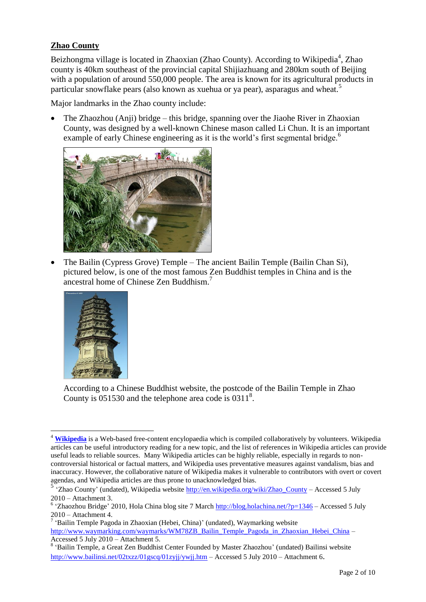# **Zhao County**

Beizhongma village is located in Zhaoxian (Zhao County). According to Wikipedia<sup>4</sup>, Zhao county is 40km southeast of the provincial capital Shijiazhuang and 280km south of Beijing with a population of around 550,000 people. The area is known for its agricultural products in particular snowflake pears (also known as xuehua or ya pear), asparagus and wheat.<sup>5</sup>

Major landmarks in the Zhao county include:

 The Zhaozhou (Anji) bridge – this bridge, spanning over the Jiaohe River in Zhaoxian County, was designed by a well-known Chinese mason called Li Chun. It is an important example of early Chinese engineering as it is the world's first segmental bridge.<sup>6</sup>



 The Bailin (Cypress Grove) Temple – The ancient Bailin Temple (Bailin Chan Si), pictured below, is one of the most famous Zen Buddhist temples in China and is the ancestral home of Chinese Zen Buddhism.<sup>7</sup>



According to a Chinese Buddhist website, the postcode of the Bailin Temple in Zhao County is  $051530$  and the telephone area code is  $0311^8$ .

 $\overline{a}$ <sup>4</sup> [Wikipedia](http://en.wikipedia.org/wiki/Wikipedia) is a Web-based free-content encylopaedia which is compiled collaboratively by volunteers. Wikipedia articles can be useful introductory reading for a new topic, and the list of references in Wikipedia articles can provide useful leads to reliable sources. Many Wikipedia articles can be highly reliable, especially in regards to noncontroversial historical or factual matters, and Wikipedia uses preventative measures against vandalism, bias and inaccuracy. However, the collaborative nature of Wikipedia makes it vulnerable to contributors with overt or covert agendas, and Wikipedia articles are thus prone to unacknowledged bias.

<sup>&</sup>lt;sup>5</sup> Zhao County' (undated), Wikipedia website <u>http://en.wikipedia.org/wiki/Zhao\_County</u> – Accessed 5 July 2010 – Attachment 3.

<sup>&</sup>lt;sup>6</sup> 'Zhaozhou Bridge' 2010, Hola China blog site 7 March  $\frac{http://blog.holachina.net/?p=1346}$  $\frac{http://blog.holachina.net/?p=1346}$  $\frac{http://blog.holachina.net/?p=1346}$  - Accessed 5 July 2010 – Attachment 4.

<sup>&</sup>lt;sup>7</sup> 'Bailin Temple Pagoda in Zhaoxian (Hebei, China)' (undated), Waymarking website [http://www.waymarking.com/waymarks/WM78ZB\\_Bailin\\_Temple\\_Pagoda\\_in\\_Zhaoxian\\_Hebei\\_China](http://www.waymarking.com/waymarks/WM78ZB_Bailin_Temple_Pagoda_in_Zhaoxian_Hebei_China) – Accessed 5 July 2010 – Attachment 5.

<sup>&</sup>lt;sup>8</sup> 'Bailin Temple, a Great Zen Buddhist Center Founded by Master Zhaozhou' (undated) Bailinsi website <http://www.bailinsi.net/02txzz/01gscq/01zyjj/ywjj.htm> – Accessed 5 July 2010 – Attachment 6.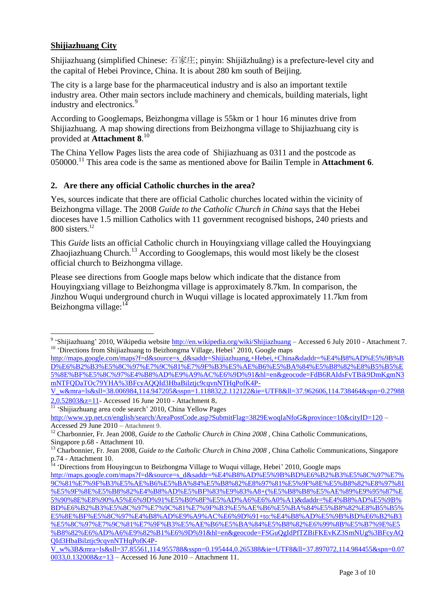# **Shijiazhuang City**

Shijiazhuang (simplified Chinese: 石家庄; pinyin: Shíjiāzhuāng) is a prefecture-level city and the capital of Hebei Province, China. It is about 280 km south of Beijing.

The city is a large base for the pharmaceutical industry and is also an important textile industry area. Other main sectors include machinery and chemicals, building materials, light industry and electronics.<sup>9</sup>

According to Googlemaps, Beizhongma village is 55km or 1 hour 16 minutes drive from Shijiazhuang. A map showing directions from Beizhongma village to Shijiazhuang city is provided at **Attachment 8**. 10

The China Yellow Pages lists the area code of Shijiazhuang as 0311 and the postcode as 050000.<sup>11</sup> This area code is the same as mentioned above for Bailin Temple in **Attachment 6**.

#### **2. Are there any official Catholic churches in the area?**

Yes, sources indicate that there are official Catholic churches located within the vicinity of Beizhongma village. The 2008 *Guide to the Catholic Church in China* says that the Hebei dioceses have 1.5 million Catholics with 11 government recognised bishops, 240 priests and 800 sisters. 12

This *Guide* lists an official Catholic church in Houyingxiang village called the Houyingxiang Zhaojiazhuang Church.<sup>13</sup> According to Googlemaps, this would most likely be the closest official church to Beizhongma village.

Please see directions from Google maps below which indicate that the distance from Houyingxiang village to Beizhongma village is approximately 8.7km. In comparison, the Jinzhou Wuqui underground church in Wuqui village is located approximately 11.7km from Beizhongma village:<sup>14</sup>

 9 "Shijiazhuang" 2010, Wikipedia website<http://en.wikipedia.org/wiki/Shijiazhuang> – Accessed 6 July 2010 - Attachment 7. <sup>10</sup> 'Directions from Shijiazhuang to Beizhongma Village, Hebei<sup>7</sup> 2010, Google maps

[http://maps.google.com/maps?f=d&source=s\\_d&saddr=Shijiazhuang,+Hebei,+China&daddr=%E4%B8%AD%E5%9B%B](http://maps.google.com/maps?f=d&source=s_d&saddr=Shijiazhuang,+Hebei,+China&daddr=%E4%B8%AD%E5%9B%BD%E6%B2%B3%E5%8C%97%E7%9C%81%E7%9F%B3%E5%AE%B6%E5%BA%84%E5%B8%82%E8%B5%B5%E5%8E%BF%E5%8C%97%E4%B8%AD%E9%A9%AC%E6%9D%91&hl=en&geocode=FdB6RAIdsFvTBik9DmKgmN3mNTFQDaTOc79YHA%3BFcyAQQId3HbaBilztjc9cqvnNTHqPofK4P-V_w&mra=ls&sll=38.006984,114.947205&sspn=1.118832,2.112122&ie=UTF8&ll=37.962606,114.738464&spn=0.279882,0.52803&z=11) [D%E6%B2%B3%E5%8C%97%E7%9C%81%E7%9F%B3%E5%AE%B6%E5%BA%84%E5%B8%82%E8%B5%B5%E](http://maps.google.com/maps?f=d&source=s_d&saddr=Shijiazhuang,+Hebei,+China&daddr=%E4%B8%AD%E5%9B%BD%E6%B2%B3%E5%8C%97%E7%9C%81%E7%9F%B3%E5%AE%B6%E5%BA%84%E5%B8%82%E8%B5%B5%E5%8E%BF%E5%8C%97%E4%B8%AD%E9%A9%AC%E6%9D%91&hl=en&geocode=FdB6RAIdsFvTBik9DmKgmN3mNTFQDaTOc79YHA%3BFcyAQQId3HbaBilztjc9cqvnNTHqPofK4P-V_w&mra=ls&sll=38.006984,114.947205&sspn=1.118832,2.112122&ie=UTF8&ll=37.962606,114.738464&spn=0.279882,0.52803&z=11) [5%8E%BF%E5%8C%97%E4%B8%AD%E9%A9%AC%E6%9D%91&hl=en&geocode=FdB6RAIdsFvTBik9DmKgmN3](http://maps.google.com/maps?f=d&source=s_d&saddr=Shijiazhuang,+Hebei,+China&daddr=%E4%B8%AD%E5%9B%BD%E6%B2%B3%E5%8C%97%E7%9C%81%E7%9F%B3%E5%AE%B6%E5%BA%84%E5%B8%82%E8%B5%B5%E5%8E%BF%E5%8C%97%E4%B8%AD%E9%A9%AC%E6%9D%91&hl=en&geocode=FdB6RAIdsFvTBik9DmKgmN3mNTFQDaTOc79YHA%3BFcyAQQId3HbaBilztjc9cqvnNTHqPofK4P-V_w&mra=ls&sll=38.006984,114.947205&sspn=1.118832,2.112122&ie=UTF8&ll=37.962606,114.738464&spn=0.279882,0.52803&z=11) [mNTFQDaTOc79YHA%3BFcyAQQId3HbaBilztjc9cqvnNTHqPofK4P-](http://maps.google.com/maps?f=d&source=s_d&saddr=Shijiazhuang,+Hebei,+China&daddr=%E4%B8%AD%E5%9B%BD%E6%B2%B3%E5%8C%97%E7%9C%81%E7%9F%B3%E5%AE%B6%E5%BA%84%E5%B8%82%E8%B5%B5%E5%8E%BF%E5%8C%97%E4%B8%AD%E9%A9%AC%E6%9D%91&hl=en&geocode=FdB6RAIdsFvTBik9DmKgmN3mNTFQDaTOc79YHA%3BFcyAQQId3HbaBilztjc9cqvnNTHqPofK4P-V_w&mra=ls&sll=38.006984,114.947205&sspn=1.118832,2.112122&ie=UTF8&ll=37.962606,114.738464&spn=0.279882,0.52803&z=11)

[V\\_w&mra=ls&sll=38.006984,114.947205&sspn=1.118832,2.112122&ie=UTF8&ll=37.962606,114.738464&spn=0.27988](http://maps.google.com/maps?f=d&source=s_d&saddr=Shijiazhuang,+Hebei,+China&daddr=%E4%B8%AD%E5%9B%BD%E6%B2%B3%E5%8C%97%E7%9C%81%E7%9F%B3%E5%AE%B6%E5%BA%84%E5%B8%82%E8%B5%B5%E5%8E%BF%E5%8C%97%E4%B8%AD%E9%A9%AC%E6%9D%91&hl=en&geocode=FdB6RAIdsFvTBik9DmKgmN3mNTFQDaTOc79YHA%3BFcyAQQId3HbaBilztjc9cqvnNTHqPofK4P-V_w&mra=ls&sll=38.006984,114.947205&sspn=1.118832,2.112122&ie=UTF8&ll=37.962606,114.738464&spn=0.279882,0.52803&z=11) [2,0.52803&z=11-](http://maps.google.com/maps?f=d&source=s_d&saddr=Shijiazhuang,+Hebei,+China&daddr=%E4%B8%AD%E5%9B%BD%E6%B2%B3%E5%8C%97%E7%9C%81%E7%9F%B3%E5%AE%B6%E5%BA%84%E5%B8%82%E8%B5%B5%E5%8E%BF%E5%8C%97%E4%B8%AD%E9%A9%AC%E6%9D%91&hl=en&geocode=FdB6RAIdsFvTBik9DmKgmN3mNTFQDaTOc79YHA%3BFcyAQQId3HbaBilztjc9cqvnNTHqPofK4P-V_w&mra=ls&sll=38.006984,114.947205&sspn=1.118832,2.112122&ie=UTF8&ll=37.962606,114.738464&spn=0.279882,0.52803&z=11) Accessed 16 June 2010 - Attachment 8.

<sup>&</sup>lt;sup>11</sup> 'Shijiazhuang area code search' 2010, China Yellow Pages

<http://www.yp.net.cn/english/search/AreaPostCode.asp?SubmitFlag=3829EwoqIaNfoG&province=10&cityID=120> – Accessed 29 June 2010 – Attachment 9.

<sup>&</sup>lt;sup>12</sup> Charbonnier, Fr. Jean 2008, *Guide to the Catholic Church in China* 2008 , China Catholic Communications, Singapore p.68 - Attachment 10.

<sup>13</sup> Charbonnier, Fr. Jean 2008, *Guide to the Catholic Church in China 2008* , China Catholic Communications, Singapore p.74 - Attachment 10.

<sup>&</sup>lt;sup>14</sup> 'Directions from Houyingcun to Beizhongma Village to Wuqui village, Hebei' 2010, Google maps

[http://maps.google.com/maps?f=d&source=s\\_d&saddr=%E4%B8%AD%E5%9B%BD%E6%B2%B3%E5%8C%97%E7%](http://maps.google.com/maps?f=d&source=s_d&saddr=%E4%B8%AD%E5%9B%BD%E6%B2%B3%E5%8C%97%E7%9C%81%E7%9F%B3%E5%AE%B6%E5%BA%84%E5%B8%82%E8%97%81%E5%9F%8E%E5%B8%82%E8%97%81%E5%9F%8E%E5%B8%82%E4%B8%AD%E5%BF%83%E9%83%A8+(%E5%B8%B8%E5%AE%89%E9%95%87%E5%90%8E%E8%90%A5%E6%9D%91%E5%B0%8F%E5%AD%A6%E6%A0%A1)&daddr=%E4%B8%AD%E5%9B%BD%E6%B2%B3%E5%8C%97%E7%9C%81%E7%9F%B3%E5%AE%B6%E5%BA%84%E5%B8%82%E8%B5%B5%E5%8E%BF%E5%8C%97%E4%B8%AD%E9%A9%AC%E6%9D%91+to:%E4%B8%AD%E5%9B%BD%E6%B2%B3%E5%8C%97%E7%9C%81%E7%9F%B3%E5%AE%B6%E5%BA%84%E5%B8%82%E6%99%8B%E5%B7%9E%E5%B8%82%E6%AD%A6%E9%82%B1%E6%9D%91&hl=en&geocode=FSGuQgIdPfTZBiFKEvKZ3SmNUg%3BFcyAQQId3HbaBilztjc9cqvnNTHqPofK4P-V_w%3B&mra=ls&sll=37.85561,114.955788&sspn=0.195444,0.265388&ie=UTF8&ll=37.897072,114.984455&spn=0.070033,0.132008&z=13) [9C%81%E7%9F%B3%E5%AE%B6%E5%BA%84%E5%B8%82%E8%97%81%E5%9F%8E%E5%B8%82%E8%97%81](http://maps.google.com/maps?f=d&source=s_d&saddr=%E4%B8%AD%E5%9B%BD%E6%B2%B3%E5%8C%97%E7%9C%81%E7%9F%B3%E5%AE%B6%E5%BA%84%E5%B8%82%E8%97%81%E5%9F%8E%E5%B8%82%E8%97%81%E5%9F%8E%E5%B8%82%E4%B8%AD%E5%BF%83%E9%83%A8+(%E5%B8%B8%E5%AE%89%E9%95%87%E5%90%8E%E8%90%A5%E6%9D%91%E5%B0%8F%E5%AD%A6%E6%A0%A1)&daddr=%E4%B8%AD%E5%9B%BD%E6%B2%B3%E5%8C%97%E7%9C%81%E7%9F%B3%E5%AE%B6%E5%BA%84%E5%B8%82%E8%B5%B5%E5%8E%BF%E5%8C%97%E4%B8%AD%E9%A9%AC%E6%9D%91+to:%E4%B8%AD%E5%9B%BD%E6%B2%B3%E5%8C%97%E7%9C%81%E7%9F%B3%E5%AE%B6%E5%BA%84%E5%B8%82%E6%99%8B%E5%B7%9E%E5%B8%82%E6%AD%A6%E9%82%B1%E6%9D%91&hl=en&geocode=FSGuQgIdPfTZBiFKEvKZ3SmNUg%3BFcyAQQId3HbaBilztjc9cqvnNTHqPofK4P-V_w%3B&mra=ls&sll=37.85561,114.955788&sspn=0.195444,0.265388&ie=UTF8&ll=37.897072,114.984455&spn=0.070033,0.132008&z=13) [%E5%9F%8E%E5%B8%82%E4%B8%AD%E5%BF%83%E9%83%A8+\(%E5%B8%B8%E5%AE%89%E9%95%87%E](http://maps.google.com/maps?f=d&source=s_d&saddr=%E4%B8%AD%E5%9B%BD%E6%B2%B3%E5%8C%97%E7%9C%81%E7%9F%B3%E5%AE%B6%E5%BA%84%E5%B8%82%E8%97%81%E5%9F%8E%E5%B8%82%E8%97%81%E5%9F%8E%E5%B8%82%E4%B8%AD%E5%BF%83%E9%83%A8+(%E5%B8%B8%E5%AE%89%E9%95%87%E5%90%8E%E8%90%A5%E6%9D%91%E5%B0%8F%E5%AD%A6%E6%A0%A1)&daddr=%E4%B8%AD%E5%9B%BD%E6%B2%B3%E5%8C%97%E7%9C%81%E7%9F%B3%E5%AE%B6%E5%BA%84%E5%B8%82%E8%B5%B5%E5%8E%BF%E5%8C%97%E4%B8%AD%E9%A9%AC%E6%9D%91+to:%E4%B8%AD%E5%9B%BD%E6%B2%B3%E5%8C%97%E7%9C%81%E7%9F%B3%E5%AE%B6%E5%BA%84%E5%B8%82%E6%99%8B%E5%B7%9E%E5%B8%82%E6%AD%A6%E9%82%B1%E6%9D%91&hl=en&geocode=FSGuQgIdPfTZBiFKEvKZ3SmNUg%3BFcyAQQId3HbaBilztjc9cqvnNTHqPofK4P-V_w%3B&mra=ls&sll=37.85561,114.955788&sspn=0.195444,0.265388&ie=UTF8&ll=37.897072,114.984455&spn=0.070033,0.132008&z=13) [5%90%8E%E8%90%A5%E6%9D%91%E5%B0%8F%E5%AD%A6%E6%A0%A1\)&daddr=%E4%B8%AD%E5%9B%](http://maps.google.com/maps?f=d&source=s_d&saddr=%E4%B8%AD%E5%9B%BD%E6%B2%B3%E5%8C%97%E7%9C%81%E7%9F%B3%E5%AE%B6%E5%BA%84%E5%B8%82%E8%97%81%E5%9F%8E%E5%B8%82%E8%97%81%E5%9F%8E%E5%B8%82%E4%B8%AD%E5%BF%83%E9%83%A8+(%E5%B8%B8%E5%AE%89%E9%95%87%E5%90%8E%E8%90%A5%E6%9D%91%E5%B0%8F%E5%AD%A6%E6%A0%A1)&daddr=%E4%B8%AD%E5%9B%BD%E6%B2%B3%E5%8C%97%E7%9C%81%E7%9F%B3%E5%AE%B6%E5%BA%84%E5%B8%82%E8%B5%B5%E5%8E%BF%E5%8C%97%E4%B8%AD%E9%A9%AC%E6%9D%91+to:%E4%B8%AD%E5%9B%BD%E6%B2%B3%E5%8C%97%E7%9C%81%E7%9F%B3%E5%AE%B6%E5%BA%84%E5%B8%82%E6%99%8B%E5%B7%9E%E5%B8%82%E6%AD%A6%E9%82%B1%E6%9D%91&hl=en&geocode=FSGuQgIdPfTZBiFKEvKZ3SmNUg%3BFcyAQQId3HbaBilztjc9cqvnNTHqPofK4P-V_w%3B&mra=ls&sll=37.85561,114.955788&sspn=0.195444,0.265388&ie=UTF8&ll=37.897072,114.984455&spn=0.070033,0.132008&z=13) [BD%E6%B2%B3%E5%8C%97%E7%9C%81%E7%9F%B3%E5%AE%B6%E5%BA%84%E5%B8%82%E8%B5%B5%](http://maps.google.com/maps?f=d&source=s_d&saddr=%E4%B8%AD%E5%9B%BD%E6%B2%B3%E5%8C%97%E7%9C%81%E7%9F%B3%E5%AE%B6%E5%BA%84%E5%B8%82%E8%97%81%E5%9F%8E%E5%B8%82%E8%97%81%E5%9F%8E%E5%B8%82%E4%B8%AD%E5%BF%83%E9%83%A8+(%E5%B8%B8%E5%AE%89%E9%95%87%E5%90%8E%E8%90%A5%E6%9D%91%E5%B0%8F%E5%AD%A6%E6%A0%A1)&daddr=%E4%B8%AD%E5%9B%BD%E6%B2%B3%E5%8C%97%E7%9C%81%E7%9F%B3%E5%AE%B6%E5%BA%84%E5%B8%82%E8%B5%B5%E5%8E%BF%E5%8C%97%E4%B8%AD%E9%A9%AC%E6%9D%91+to:%E4%B8%AD%E5%9B%BD%E6%B2%B3%E5%8C%97%E7%9C%81%E7%9F%B3%E5%AE%B6%E5%BA%84%E5%B8%82%E6%99%8B%E5%B7%9E%E5%B8%82%E6%AD%A6%E9%82%B1%E6%9D%91&hl=en&geocode=FSGuQgIdPfTZBiFKEvKZ3SmNUg%3BFcyAQQId3HbaBilztjc9cqvnNTHqPofK4P-V_w%3B&mra=ls&sll=37.85561,114.955788&sspn=0.195444,0.265388&ie=UTF8&ll=37.897072,114.984455&spn=0.070033,0.132008&z=13) [E5%8E%BF%E5%8C%97%E4%B8%AD%E9%A9%AC%E6%9D%91+to:%E4%B8%AD%E5%9B%BD%E6%B2%B3](http://maps.google.com/maps?f=d&source=s_d&saddr=%E4%B8%AD%E5%9B%BD%E6%B2%B3%E5%8C%97%E7%9C%81%E7%9F%B3%E5%AE%B6%E5%BA%84%E5%B8%82%E8%97%81%E5%9F%8E%E5%B8%82%E8%97%81%E5%9F%8E%E5%B8%82%E4%B8%AD%E5%BF%83%E9%83%A8+(%E5%B8%B8%E5%AE%89%E9%95%87%E5%90%8E%E8%90%A5%E6%9D%91%E5%B0%8F%E5%AD%A6%E6%A0%A1)&daddr=%E4%B8%AD%E5%9B%BD%E6%B2%B3%E5%8C%97%E7%9C%81%E7%9F%B3%E5%AE%B6%E5%BA%84%E5%B8%82%E8%B5%B5%E5%8E%BF%E5%8C%97%E4%B8%AD%E9%A9%AC%E6%9D%91+to:%E4%B8%AD%E5%9B%BD%E6%B2%B3%E5%8C%97%E7%9C%81%E7%9F%B3%E5%AE%B6%E5%BA%84%E5%B8%82%E6%99%8B%E5%B7%9E%E5%B8%82%E6%AD%A6%E9%82%B1%E6%9D%91&hl=en&geocode=FSGuQgIdPfTZBiFKEvKZ3SmNUg%3BFcyAQQId3HbaBilztjc9cqvnNTHqPofK4P-V_w%3B&mra=ls&sll=37.85561,114.955788&sspn=0.195444,0.265388&ie=UTF8&ll=37.897072,114.984455&spn=0.070033,0.132008&z=13) [%E5%8C%97%E7%9C%81%E7%9F%B3%E5%AE%B6%E5%BA%84%E5%B8%82%E6%99%8B%E5%B7%9E%E5](http://maps.google.com/maps?f=d&source=s_d&saddr=%E4%B8%AD%E5%9B%BD%E6%B2%B3%E5%8C%97%E7%9C%81%E7%9F%B3%E5%AE%B6%E5%BA%84%E5%B8%82%E8%97%81%E5%9F%8E%E5%B8%82%E8%97%81%E5%9F%8E%E5%B8%82%E4%B8%AD%E5%BF%83%E9%83%A8+(%E5%B8%B8%E5%AE%89%E9%95%87%E5%90%8E%E8%90%A5%E6%9D%91%E5%B0%8F%E5%AD%A6%E6%A0%A1)&daddr=%E4%B8%AD%E5%9B%BD%E6%B2%B3%E5%8C%97%E7%9C%81%E7%9F%B3%E5%AE%B6%E5%BA%84%E5%B8%82%E8%B5%B5%E5%8E%BF%E5%8C%97%E4%B8%AD%E9%A9%AC%E6%9D%91+to:%E4%B8%AD%E5%9B%BD%E6%B2%B3%E5%8C%97%E7%9C%81%E7%9F%B3%E5%AE%B6%E5%BA%84%E5%B8%82%E6%99%8B%E5%B7%9E%E5%B8%82%E6%AD%A6%E9%82%B1%E6%9D%91&hl=en&geocode=FSGuQgIdPfTZBiFKEvKZ3SmNUg%3BFcyAQQId3HbaBilztjc9cqvnNTHqPofK4P-V_w%3B&mra=ls&sll=37.85561,114.955788&sspn=0.195444,0.265388&ie=UTF8&ll=37.897072,114.984455&spn=0.070033,0.132008&z=13) [%B8%82%E6%AD%A6%E9%82%B1%E6%9D%91&hl=en&geocode=FSGuQgIdPfTZBiFKEvKZ3SmNUg%3BFcyAQ](http://maps.google.com/maps?f=d&source=s_d&saddr=%E4%B8%AD%E5%9B%BD%E6%B2%B3%E5%8C%97%E7%9C%81%E7%9F%B3%E5%AE%B6%E5%BA%84%E5%B8%82%E8%97%81%E5%9F%8E%E5%B8%82%E8%97%81%E5%9F%8E%E5%B8%82%E4%B8%AD%E5%BF%83%E9%83%A8+(%E5%B8%B8%E5%AE%89%E9%95%87%E5%90%8E%E8%90%A5%E6%9D%91%E5%B0%8F%E5%AD%A6%E6%A0%A1)&daddr=%E4%B8%AD%E5%9B%BD%E6%B2%B3%E5%8C%97%E7%9C%81%E7%9F%B3%E5%AE%B6%E5%BA%84%E5%B8%82%E8%B5%B5%E5%8E%BF%E5%8C%97%E4%B8%AD%E9%A9%AC%E6%9D%91+to:%E4%B8%AD%E5%9B%BD%E6%B2%B3%E5%8C%97%E7%9C%81%E7%9F%B3%E5%AE%B6%E5%BA%84%E5%B8%82%E6%99%8B%E5%B7%9E%E5%B8%82%E6%AD%A6%E9%82%B1%E6%9D%91&hl=en&geocode=FSGuQgIdPfTZBiFKEvKZ3SmNUg%3BFcyAQQId3HbaBilztjc9cqvnNTHqPofK4P-V_w%3B&mra=ls&sll=37.85561,114.955788&sspn=0.195444,0.265388&ie=UTF8&ll=37.897072,114.984455&spn=0.070033,0.132008&z=13) [QId3HbaBilztjc9cqvnNTHqPofK4P-](http://maps.google.com/maps?f=d&source=s_d&saddr=%E4%B8%AD%E5%9B%BD%E6%B2%B3%E5%8C%97%E7%9C%81%E7%9F%B3%E5%AE%B6%E5%BA%84%E5%B8%82%E8%97%81%E5%9F%8E%E5%B8%82%E8%97%81%E5%9F%8E%E5%B8%82%E4%B8%AD%E5%BF%83%E9%83%A8+(%E5%B8%B8%E5%AE%89%E9%95%87%E5%90%8E%E8%90%A5%E6%9D%91%E5%B0%8F%E5%AD%A6%E6%A0%A1)&daddr=%E4%B8%AD%E5%9B%BD%E6%B2%B3%E5%8C%97%E7%9C%81%E7%9F%B3%E5%AE%B6%E5%BA%84%E5%B8%82%E8%B5%B5%E5%8E%BF%E5%8C%97%E4%B8%AD%E9%A9%AC%E6%9D%91+to:%E4%B8%AD%E5%9B%BD%E6%B2%B3%E5%8C%97%E7%9C%81%E7%9F%B3%E5%AE%B6%E5%BA%84%E5%B8%82%E6%99%8B%E5%B7%9E%E5%B8%82%E6%AD%A6%E9%82%B1%E6%9D%91&hl=en&geocode=FSGuQgIdPfTZBiFKEvKZ3SmNUg%3BFcyAQQId3HbaBilztjc9cqvnNTHqPofK4P-V_w%3B&mra=ls&sll=37.85561,114.955788&sspn=0.195444,0.265388&ie=UTF8&ll=37.897072,114.984455&spn=0.070033,0.132008&z=13)

[V\\_w%3B&mra=ls&sll=37.85561,114.955788&sspn=0.195444,0.265388&ie=UTF8&ll=37.897072,114.984455&spn=0.07](http://maps.google.com/maps?f=d&source=s_d&saddr=%E4%B8%AD%E5%9B%BD%E6%B2%B3%E5%8C%97%E7%9C%81%E7%9F%B3%E5%AE%B6%E5%BA%84%E5%B8%82%E8%97%81%E5%9F%8E%E5%B8%82%E8%97%81%E5%9F%8E%E5%B8%82%E4%B8%AD%E5%BF%83%E9%83%A8+(%E5%B8%B8%E5%AE%89%E9%95%87%E5%90%8E%E8%90%A5%E6%9D%91%E5%B0%8F%E5%AD%A6%E6%A0%A1)&daddr=%E4%B8%AD%E5%9B%BD%E6%B2%B3%E5%8C%97%E7%9C%81%E7%9F%B3%E5%AE%B6%E5%BA%84%E5%B8%82%E8%B5%B5%E5%8E%BF%E5%8C%97%E4%B8%AD%E9%A9%AC%E6%9D%91+to:%E4%B8%AD%E5%9B%BD%E6%B2%B3%E5%8C%97%E7%9C%81%E7%9F%B3%E5%AE%B6%E5%BA%84%E5%B8%82%E6%99%8B%E5%B7%9E%E5%B8%82%E6%AD%A6%E9%82%B1%E6%9D%91&hl=en&geocode=FSGuQgIdPfTZBiFKEvKZ3SmNUg%3BFcyAQQId3HbaBilztjc9cqvnNTHqPofK4P-V_w%3B&mra=ls&sll=37.85561,114.955788&sspn=0.195444,0.265388&ie=UTF8&ll=37.897072,114.984455&spn=0.070033,0.132008&z=13) [0033,0.132008&z=13](http://maps.google.com/maps?f=d&source=s_d&saddr=%E4%B8%AD%E5%9B%BD%E6%B2%B3%E5%8C%97%E7%9C%81%E7%9F%B3%E5%AE%B6%E5%BA%84%E5%B8%82%E8%97%81%E5%9F%8E%E5%B8%82%E8%97%81%E5%9F%8E%E5%B8%82%E4%B8%AD%E5%BF%83%E9%83%A8+(%E5%B8%B8%E5%AE%89%E9%95%87%E5%90%8E%E8%90%A5%E6%9D%91%E5%B0%8F%E5%AD%A6%E6%A0%A1)&daddr=%E4%B8%AD%E5%9B%BD%E6%B2%B3%E5%8C%97%E7%9C%81%E7%9F%B3%E5%AE%B6%E5%BA%84%E5%B8%82%E8%B5%B5%E5%8E%BF%E5%8C%97%E4%B8%AD%E9%A9%AC%E6%9D%91+to:%E4%B8%AD%E5%9B%BD%E6%B2%B3%E5%8C%97%E7%9C%81%E7%9F%B3%E5%AE%B6%E5%BA%84%E5%B8%82%E6%99%8B%E5%B7%9E%E5%B8%82%E6%AD%A6%E9%82%B1%E6%9D%91&hl=en&geocode=FSGuQgIdPfTZBiFKEvKZ3SmNUg%3BFcyAQQId3HbaBilztjc9cqvnNTHqPofK4P-V_w%3B&mra=ls&sll=37.85561,114.955788&sspn=0.195444,0.265388&ie=UTF8&ll=37.897072,114.984455&spn=0.070033,0.132008&z=13) – Accessed 16 June 2010 – Attachment 11.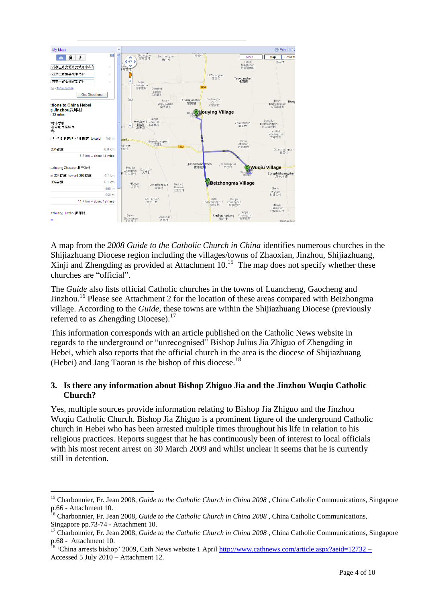

A map from the *2008 Guide to the Catholic Church in China* identifies numerous churches in the Shijiazhuang Diocese region including the villages/towns of Zhaoxian, Jinzhou, Shijiazhuang, Xinji and Zhengding as provided at Attachment 10. <sup>15</sup> The map does not specify whether these churches are "official".

The *Guide* also lists official Catholic churches in the towns of Luancheng, Gaocheng and Jinzhou.<sup>16</sup> Please see Attachment 2 for the location of these areas compared with Beizhongma village. According to the *Guide,* these towns are within the Shijiazhuang Diocese (previously referred to as Zhengding Diocese).<sup>17</sup>

This information corresponds with an article published on the Catholic News website in regards to the underground or "unrecognised" Bishop Julius Jia Zhiguo of Zhengding in Hebei, which also reports that the official church in the area is the diocese of Shijiazhuang (Hebei) and Jang Taoran is the bishop of this diocese.<sup>18</sup>

## **3. Is there any information about Bishop Zhiguo Jia and the Jinzhou Wuqiu Catholic Church?**

Yes, multiple sources provide information relating to Bishop Jia Zhiguo and the Jinzhou Wuqiu Catholic Church. Bishop Jia Zhiguo is a prominent figure of the underground Catholic church in Hebei who has been arrested multiple times throughout his life in relation to his religious practices. Reports suggest that he has continuously been of interest to local officials with his most recent arrest on 30 March 2009 and whilst unclear it seems that he is currently still in detention.

<sup>15</sup> Charbonnier, Fr. Jean 2008, *Guide to the Catholic Church in China 2008* , China Catholic Communications, Singapore p.66 - Attachment 10.

<sup>16</sup> Charbonnier, Fr. Jean 2008, *Guide to the Catholic Church in China 2008* , China Catholic Communications, Singapore pp.73-74 - Attachment 10.

<sup>&</sup>lt;sup>17</sup> Charbonnier, Fr. Jean 2008, *Guide to the Catholic Church in China* 2008, China Catholic Communications, Singapore p.68 - Attachment 10.

<sup>&#</sup>x27;China arrests bishop' 2009, Cath News website 1 April<http://www.cathnews.com/article.aspx?aeid=12732> – Accessed 5 July 2010 – Attachment 12.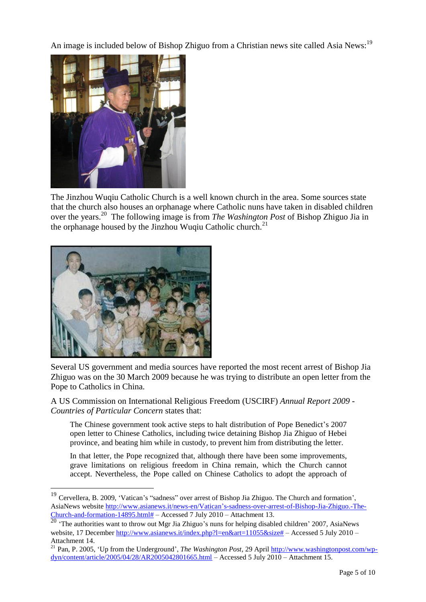An image is included below of Bishop Zhiguo from a Christian news site called Asia News:<sup>19</sup>



The Jinzhou Wuqiu Catholic Church is a well known church in the area. Some sources state that the church also houses an orphanage where Catholic nuns have taken in disabled children over the years. <sup>20</sup> The following image is from *The Washington Post* of Bishop Zhiguo Jia in the orphanage housed by the Jinzhou Wuqiu Catholic church.<sup>21</sup>



 $\overline{a}$ 

Several US government and media sources have reported the most recent arrest of Bishop Jia Zhiguo was on the 30 March 2009 because he was trying to distribute an open letter from the Pope to Catholics in China.

A US Commission on International Religious Freedom (USCIRF) *Annual Report 2009 - Countries of Particular Concern* states that:

The Chinese government took active steps to halt distribution of Pope Benedict's 2007 open letter to Chinese Catholics, including twice detaining Bishop Jia Zhiguo of Hebei province, and beating him while in custody, to prevent him from distributing the letter.

In that letter, the Pope recognized that, although there have been some improvements, grave limitations on religious freedom in China remain, which the Church cannot accept. Nevertheless, the Pope called on Chinese Catholics to adopt the approach of

<sup>&</sup>lt;sup>19</sup> Cervellera, B. 2009, 'Vatican's "sadness" over arrest of Bishop Jia Zhiguo. The Church and formation', AsiaNews website [http://www.asianews.it/news-en/Vatican"s-sadness-over-arrest-of-Bishop-Jia-Zhiguo.-The-](http://www.asianews.it/news-en/Vatican)[Church-and-formation-14895.html#](http://www.asianews.it/news-en/Vatican) – Accessed 7 July 2010 – Attachment 13.

<sup>&</sup>lt;sup>20</sup> The authorities want to throw out Mgr Jia Zhiguo's nuns for helping disabled children' 2007, AsiaNews website, 17 December [http://www.asianews.it/index.php?l=en&art=11055&size#](http://www.asianews.it/index.php?l=en&art=11055&size) – Accessed 5 July 2010 – Attachment 14.

<sup>&</sup>lt;sup>21</sup> Pan, P. 2005, 'Up from the Underground', *The Washington Post*, 29 April [http://www.washingtonpost.com/wp](http://www.washingtonpost.com/wp-dyn/content/article/2005/04/28/AR2005042801665.html)[dyn/content/article/2005/04/28/AR2005042801665.html](http://www.washingtonpost.com/wp-dyn/content/article/2005/04/28/AR2005042801665.html) – Accessed 5 July 2010 – Attachment 15.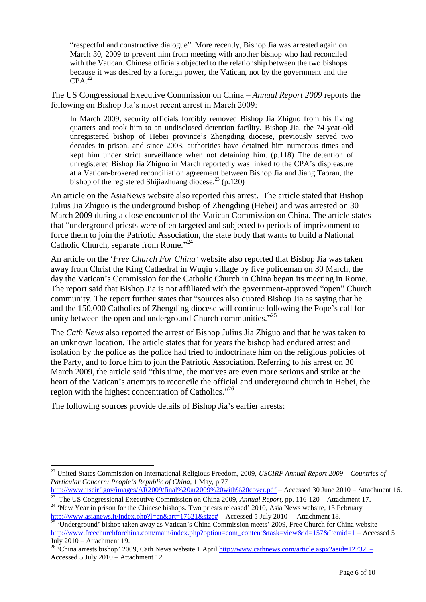"respectful and constructive dialogue". More recently, Bishop Jia was arrested again on March 30, 2009 to prevent him from meeting with another bishop who had reconciled with the Vatican. Chinese officials objected to the relationship between the two bishops because it was desired by a foreign power, the Vatican, not by the government and the  $CPA.<sup>22</sup>$ 

The US Congressional Executive Commission on China – *Annual Report 2009* reports the following on Bishop Jia"s most recent arrest in March 2009*:*

In March 2009, security officials forcibly removed Bishop Jia Zhiguo from his living quarters and took him to an undisclosed detention facility. Bishop Jia, the 74-year-old unregistered bishop of Hebei province"s Zhengding diocese, previously served two decades in prison, and since 2003, authorities have detained him numerous times and kept him under strict surveillance when not detaining him. (p.118) The detention of unregistered Bishop Jia Zhiguo in March reportedly was linked to the CPA"s displeasure at a Vatican-brokered reconciliation agreement between Bishop Jia and Jiang Taoran, the bishop of the registered Shijiazhuang diocese.<sup>23</sup> (p.120)

An article on the AsiaNews website also reported this arrest. The article stated that Bishop Julius Jia Zhiguo is the underground bishop of Zhengding (Hebei) and was arrested on 30 March 2009 during a close encounter of the Vatican Commission on China. The article states that "underground priests were often targeted and subjected to periods of imprisonment to force them to join the Patriotic Association, the state body that wants to build a National Catholic Church, separate from Rome."<sup>24</sup>

An article on the "*Free Church For China'* website also reported that Bishop Jia was taken away from Christ the King Cathedral in Wuqiu village by five policeman on 30 March, the day the Vatican"s Commission for the Catholic Church in China began its meeting in Rome. The report said that Bishop Jia is not affiliated with the government-approved "open" Church community. The report further states that "sources also quoted Bishop Jia as saying that he and the 150,000 Catholics of Zhengding diocese will continue following the Pope"s call for unity between the open and underground Church communities."<sup>25</sup>

The *Cath News* also reported the arrest of Bishop Julius Jia Zhiguo and that he was taken to an unknown location. The article states that for years the bishop had endured arrest and isolation by the police as the police had tried to indoctrinate him on the religious policies of the Party, and to force him to join the Patriotic Association. Referring to his arrest on 30 March 2009, the article said "this time, the motives are even more serious and strike at the heart of the Vatican's attempts to reconcile the official and underground church in Hebei, the region with the highest concentration of Catholics."<sup>26</sup>

The following sources provide details of Bishop Jia"s earlier arrests:

<sup>22</sup> United States Commission on International Religious Freedom, 2009, *USCIRF Annual Report 2009 – Countries of Particular Concern: People's Republic of China*, 1 May, p.77

<http://www.uscirf.gov/images/AR2009/final%20ar2009%20with%20cover.pdf> – Accessed 30 June 2010 – Attachment 16. 23 The US Congressional Executive Commission on China 2009, *Annual Report*, pp. 116-120 – Attachment 17.

<sup>&</sup>lt;sup>24</sup> 'New Year in prison for the Chinese bishops. Two priests released' 2010, Asia News website, 13 February [http://www.asianews.it/index.php?l=en&art=17621&size#](http://www.asianews.it/index.php?l=en&art=17621&size) – Accessed 5 July 2010 – Attachment 18.

 $25$  Underground' bishop taken away as Vatican's China Commission meets' 2009, Free Church for China website [http://www.freechurchforchina.com/main/index.php?option=com\\_content&task=view&id=157&Itemid=1](http://www.freechurchforchina.com/main/index.php?option=com_content&task=view&id=157&Itemid=1) – Accessed 5 July 2010 – Attachment 19.

<sup>&</sup>lt;sup>26</sup> 'China arrests bishop' 2009, Cath News website 1 April<http://www.cathnews.com/article.aspx?aeid=12732> – Accessed 5 July 2010 – Attachment 12.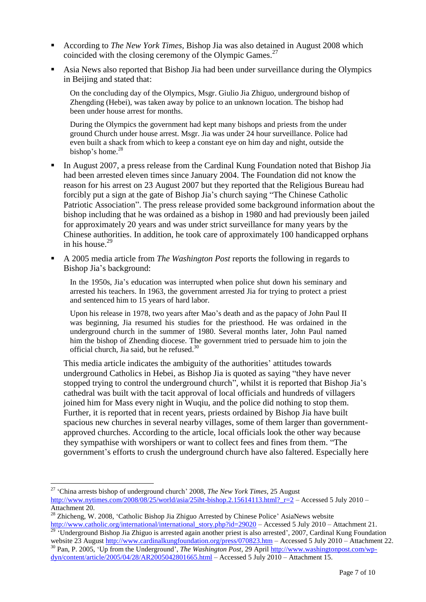- According to *The New York Times,* Bishop Jia was also detained in August 2008 which coincided with the closing ceremony of the Olympic Games. $27$
- Asia News also reported that Bishop Jia had been under surveillance during the Olympics in Beijing and stated that:

On the concluding day of the Olympics, Msgr. Giulio Jia Zhiguo, underground bishop of Zhengding (Hebei), was taken away by police to an unknown location. The bishop had been under house arrest for months.

During the Olympics the government had kept many bishops and priests from the under ground Church under house arrest. Msgr. Jia was under 24 hour surveillance. Police had even built a shack from which to keep a constant eye on him day and night, outside the bishop's home.<sup>28</sup>

- In August 2007, a press release from the Cardinal Kung Foundation noted that Bishop Jia had been arrested eleven times since January 2004. The Foundation did not know the reason for his arrest on 23 August 2007 but they reported that the Religious Bureau had forcibly put a sign at the gate of Bishop Jia"s church saying "The Chinese Catholic Patriotic Association". The press release provided some background information about the bishop including that he was ordained as a bishop in 1980 and had previously been jailed for approximately 20 years and was under strict surveillance for many years by the Chinese authorities. In addition, he took care of approximately 100 handicapped orphans in his house. $29$
- A 2005 media article from *The Washington Post* reports the following in regards to Bishop Jia"s background:

In the 1950s, Jia's education was interrupted when police shut down his seminary and arrested his teachers. In 1963, the government arrested Jia for trying to protect a priest and sentenced him to 15 years of hard labor.

Upon his release in 1978, two years after Mao"s death and as the papacy of John Paul II was beginning, Jia resumed his studies for the priesthood. He was ordained in the underground church in the summer of 1980. Several months later, John Paul named him the bishop of Zhending diocese. The government tried to persuade him to join the official church, Jia said, but he refused.<sup>30</sup>

This media article indicates the ambiguity of the authorities' attitudes towards underground Catholics in Hebei, as Bishop Jia is quoted as saying "they have never stopped trying to control the underground church", whilst it is reported that Bishop Jia"s cathedral was built with the tacit approval of local officials and hundreds of villagers joined him for Mass every night in Wuqiu, and the police did nothing to stop them. Further, it is reported that in recent years, priests ordained by Bishop Jia have built spacious new churches in several nearby villages, some of them larger than governmentapproved churches. According to the article, local officials look the other way because they sympathise with worshipers or want to collect fees and fines from them. "The government"s efforts to crush the underground church have also faltered. Especially here

<sup>27</sup> "China arrests bishop of underground church" 2008, *The New York Times,* 25 August

[http://www.nytimes.com/2008/08/25/world/asia/25iht-bishop.2.15614113.html?\\_r=2](http://www.nytimes.com/2008/08/25/world/asia/25iht-bishop.2.15614113.html?_r=2) – Accessed 5 July 2010 – Attachment 20.

<sup>&</sup>lt;sup>28</sup> Zhicheng, W. 2008, 'Catholic Bishop Jia Zhiguo Arrested by Chinese Police' AsiaNews website [http://www.catholic.org/international/international\\_story.php?id=29020](http://www.catholic.org/international/international_story.php?id=29020) – Accessed 5 July 2010 – Attachment 21.

<sup>&</sup>lt;sup>29</sup> 'Underground Bishop Jia Zhiguo is arrested again another priest is also arrested', 2007, Cardinal Kung Foundation website 23 August<http://www.cardinalkungfoundation.org/press/070823.htm> – Accessed 5 July 2010 – Attachment 22.

<sup>30</sup> Pan, P. 2005, "Up from the Underground", *The Washington Post,* 29 April [http://www.washingtonpost.com/wp](http://www.washingtonpost.com/wp-dyn/content/article/2005/04/28/AR2005042801665.html)[dyn/content/article/2005/04/28/AR2005042801665.html](http://www.washingtonpost.com/wp-dyn/content/article/2005/04/28/AR2005042801665.html) – Accessed 5 July 2010 – Attachment 15.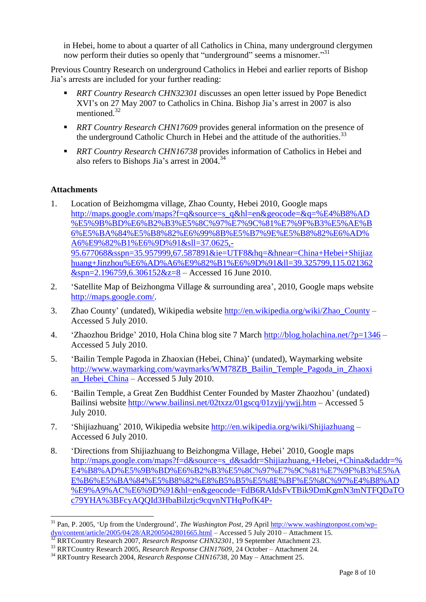in Hebei, home to about a quarter of all Catholics in China, many underground clergymen now perform their duties so openly that "underground" seems a misnomer."<sup>31</sup>

Previous Country Research on underground Catholics in Hebei and earlier reports of Bishop Jia"s arrests are included for your further reading:

- *RRT Country Research CHN32301* discusses an open letter issued by Pope Benedict XVI"s on 27 May 2007 to Catholics in China. Bishop Jia"s arrest in 2007 is also mentioned. 32
- *RRT Country Research CHN17609* provides general information on the presence of the underground Catholic Church in Hebei and the attitude of the authorities.<sup>33</sup>
- *RRT Country Research CHN16738* provides information of Catholics in Hebei and also refers to Bishops Jia's arrest in 2004.<sup>34</sup>

## **Attachments**

- 1. Location of Beizhomgma village, Zhao County, Hebei 2010, Google maps [http://maps.google.com/maps?f=q&source=s\\_q&hl=en&geocode=&q=%E4%B8%AD](http://maps.google.com/maps?f=q&source=s_q&hl=en&geocode=&q=%E4%B8%AD%E5%9B%BD%E6%B2%B3%E5%8C%97%E7%9C%81%E7%9F%B3%E5%AE%B6%E5%BA%84%E5%B8%82%E6%99%8B%E5%B7%9E%E5%B8%82%E6%AD%A6%E9%82%B1%E6%9D%91&sll=37.0625,-95.677068&sspn=35.957999,67.587891&ie=UTF8&hq=&hnear=China+Hebei+Shijiazhuang+Jinzhou%E6%AD%A6%E9%82%B1%E6%9D%91&ll=39.325799,115.021362&spn=2.196759,6.306152&z=8) [%E5%9B%BD%E6%B2%B3%E5%8C%97%E7%9C%81%E7%9F%B3%E5%AE%B](http://maps.google.com/maps?f=q&source=s_q&hl=en&geocode=&q=%E4%B8%AD%E5%9B%BD%E6%B2%B3%E5%8C%97%E7%9C%81%E7%9F%B3%E5%AE%B6%E5%BA%84%E5%B8%82%E6%99%8B%E5%B7%9E%E5%B8%82%E6%AD%A6%E9%82%B1%E6%9D%91&sll=37.0625,-95.677068&sspn=35.957999,67.587891&ie=UTF8&hq=&hnear=China+Hebei+Shijiazhuang+Jinzhou%E6%AD%A6%E9%82%B1%E6%9D%91&ll=39.325799,115.021362&spn=2.196759,6.306152&z=8) [6%E5%BA%84%E5%B8%82%E6%99%8B%E5%B7%9E%E5%B8%82%E6%AD%](http://maps.google.com/maps?f=q&source=s_q&hl=en&geocode=&q=%E4%B8%AD%E5%9B%BD%E6%B2%B3%E5%8C%97%E7%9C%81%E7%9F%B3%E5%AE%B6%E5%BA%84%E5%B8%82%E6%99%8B%E5%B7%9E%E5%B8%82%E6%AD%A6%E9%82%B1%E6%9D%91&sll=37.0625,-95.677068&sspn=35.957999,67.587891&ie=UTF8&hq=&hnear=China+Hebei+Shijiazhuang+Jinzhou%E6%AD%A6%E9%82%B1%E6%9D%91&ll=39.325799,115.021362&spn=2.196759,6.306152&z=8) [A6%E9%82%B1%E6%9D%91&sll=37.0625,-](http://maps.google.com/maps?f=q&source=s_q&hl=en&geocode=&q=%E4%B8%AD%E5%9B%BD%E6%B2%B3%E5%8C%97%E7%9C%81%E7%9F%B3%E5%AE%B6%E5%BA%84%E5%B8%82%E6%99%8B%E5%B7%9E%E5%B8%82%E6%AD%A6%E9%82%B1%E6%9D%91&sll=37.0625,-95.677068&sspn=35.957999,67.587891&ie=UTF8&hq=&hnear=China+Hebei+Shijiazhuang+Jinzhou%E6%AD%A6%E9%82%B1%E6%9D%91&ll=39.325799,115.021362&spn=2.196759,6.306152&z=8) [95.677068&sspn=35.957999,67.587891&ie=UTF8&hq=&hnear=China+Hebei+Shijiaz](http://maps.google.com/maps?f=q&source=s_q&hl=en&geocode=&q=%E4%B8%AD%E5%9B%BD%E6%B2%B3%E5%8C%97%E7%9C%81%E7%9F%B3%E5%AE%B6%E5%BA%84%E5%B8%82%E6%99%8B%E5%B7%9E%E5%B8%82%E6%AD%A6%E9%82%B1%E6%9D%91&sll=37.0625,-95.677068&sspn=35.957999,67.587891&ie=UTF8&hq=&hnear=China+Hebei+Shijiazhuang+Jinzhou%E6%AD%A6%E9%82%B1%E6%9D%91&ll=39.325799,115.021362&spn=2.196759,6.306152&z=8) [huang+Jinzhou%E6%AD%A6%E9%82%B1%E6%9D%91&ll=39.325799,115.021362](http://maps.google.com/maps?f=q&source=s_q&hl=en&geocode=&q=%E4%B8%AD%E5%9B%BD%E6%B2%B3%E5%8C%97%E7%9C%81%E7%9F%B3%E5%AE%B6%E5%BA%84%E5%B8%82%E6%99%8B%E5%B7%9E%E5%B8%82%E6%AD%A6%E9%82%B1%E6%9D%91&sll=37.0625,-95.677068&sspn=35.957999,67.587891&ie=UTF8&hq=&hnear=China+Hebei+Shijiazhuang+Jinzhou%E6%AD%A6%E9%82%B1%E6%9D%91&ll=39.325799,115.021362&spn=2.196759,6.306152&z=8)  $&$ spn=2.196759.6.306152&z=8 – Accessed 16 June 2010.
- 2. "Satellite Map of Beizhongma Village & surrounding area", 2010, Google maps website [http://maps.google.com/.](http://maps.google.com/)
- 3. Zhao County" (undated), Wikipedia website [http://en.wikipedia.org/wiki/Zhao\\_County](http://en.wikipedia.org/wiki/Zhao_County) Accessed 5 July 2010.
- 4. "Zhaozhou Bridge" 2010, Hola China blog site 7 March<http://blog.holachina.net/?p=1346> Accessed 5 July 2010.
- 5. "Bailin Temple Pagoda in Zhaoxian (Hebei, China)" (undated), Waymarking website [http://www.waymarking.com/waymarks/WM78ZB\\_Bailin\\_Temple\\_Pagoda\\_in\\_Zhaoxi](http://www.waymarking.com/waymarks/WM78ZB_Bailin_Temple_Pagoda_in_Zhaoxian_Hebei_China) [an\\_Hebei\\_China](http://www.waymarking.com/waymarks/WM78ZB_Bailin_Temple_Pagoda_in_Zhaoxian_Hebei_China) – Accessed 5 July 2010.
- 6. "Bailin Temple, a Great Zen Buddhist Center Founded by Master Zhaozhou" (undated) Bailinsi website<http://www.bailinsi.net/02txzz/01gscq/01zyjj/ywjj.htm> – Accessed 5 July 2010.
- 7. "Shijiazhuang" 2010, Wikipedia website<http://en.wikipedia.org/wiki/Shijiazhuang> Accessed 6 July 2010.
- 8. "Directions from Shijiazhuang to Beizhongma Village, Hebei" 2010, Google maps [http://maps.google.com/maps?f=d&source=s\\_d&saddr=Shijiazhuang,+Hebei,+China&daddr=%](http://maps.google.com/maps?f=d&source=s_d&saddr=Shijiazhuang,+Hebei,+China&daddr=%E4%B8%AD%E5%9B%BD%E6%B2%B3%E5%8C%97%E7%9C%81%E7%9F%B3%E5%AE%B6%E5%BA%84%E5%B8%82%E8%B5%B5%E5%8E%BF%E5%8C%97%E4%B8%AD%E9%A9%AC%E6%9D%91&hl=en&geocode=FdB6RAIdsFvTBik9DmKgmN3mNTFQDaTOc79YHA%3BFcyAQQId3HbaBilztjc9cqvnNTHqPofK4P-V_w&mra=ls&sll=38.006984,114.947205&sspn=1.118832,2.112122&ie=UTF8&ll=37.962606,114.738464&spn=0.279882,0.52803&z=11) [E4%B8%AD%E5%9B%BD%E6%B2%B3%E5%8C%97%E7%9C%81%E7%9F%B3%E5%A](http://maps.google.com/maps?f=d&source=s_d&saddr=Shijiazhuang,+Hebei,+China&daddr=%E4%B8%AD%E5%9B%BD%E6%B2%B3%E5%8C%97%E7%9C%81%E7%9F%B3%E5%AE%B6%E5%BA%84%E5%B8%82%E8%B5%B5%E5%8E%BF%E5%8C%97%E4%B8%AD%E9%A9%AC%E6%9D%91&hl=en&geocode=FdB6RAIdsFvTBik9DmKgmN3mNTFQDaTOc79YHA%3BFcyAQQId3HbaBilztjc9cqvnNTHqPofK4P-V_w&mra=ls&sll=38.006984,114.947205&sspn=1.118832,2.112122&ie=UTF8&ll=37.962606,114.738464&spn=0.279882,0.52803&z=11) [E%B6%E5%BA%84%E5%B8%82%E8%B5%B5%E5%8E%BF%E5%8C%97%E4%B8%AD](http://maps.google.com/maps?f=d&source=s_d&saddr=Shijiazhuang,+Hebei,+China&daddr=%E4%B8%AD%E5%9B%BD%E6%B2%B3%E5%8C%97%E7%9C%81%E7%9F%B3%E5%AE%B6%E5%BA%84%E5%B8%82%E8%B5%B5%E5%8E%BF%E5%8C%97%E4%B8%AD%E9%A9%AC%E6%9D%91&hl=en&geocode=FdB6RAIdsFvTBik9DmKgmN3mNTFQDaTOc79YHA%3BFcyAQQId3HbaBilztjc9cqvnNTHqPofK4P-V_w&mra=ls&sll=38.006984,114.947205&sspn=1.118832,2.112122&ie=UTF8&ll=37.962606,114.738464&spn=0.279882,0.52803&z=11) [%E9%A9%AC%E6%9D%91&hl=en&geocode=FdB6RAIdsFvTBik9DmKgmN3mNTFQDaTO](http://maps.google.com/maps?f=d&source=s_d&saddr=Shijiazhuang,+Hebei,+China&daddr=%E4%B8%AD%E5%9B%BD%E6%B2%B3%E5%8C%97%E7%9C%81%E7%9F%B3%E5%AE%B6%E5%BA%84%E5%B8%82%E8%B5%B5%E5%8E%BF%E5%8C%97%E4%B8%AD%E9%A9%AC%E6%9D%91&hl=en&geocode=FdB6RAIdsFvTBik9DmKgmN3mNTFQDaTOc79YHA%3BFcyAQQId3HbaBilztjc9cqvnNTHqPofK4P-V_w&mra=ls&sll=38.006984,114.947205&sspn=1.118832,2.112122&ie=UTF8&ll=37.962606,114.738464&spn=0.279882,0.52803&z=11) [c79YHA%3BFcyAQQId3HbaBilztjc9cqvnNTHqPofK4P-](http://maps.google.com/maps?f=d&source=s_d&saddr=Shijiazhuang,+Hebei,+China&daddr=%E4%B8%AD%E5%9B%BD%E6%B2%B3%E5%8C%97%E7%9C%81%E7%9F%B3%E5%AE%B6%E5%BA%84%E5%B8%82%E8%B5%B5%E5%8E%BF%E5%8C%97%E4%B8%AD%E9%A9%AC%E6%9D%91&hl=en&geocode=FdB6RAIdsFvTBik9DmKgmN3mNTFQDaTOc79YHA%3BFcyAQQId3HbaBilztjc9cqvnNTHqPofK4P-V_w&mra=ls&sll=38.006984,114.947205&sspn=1.118832,2.112122&ie=UTF8&ll=37.962606,114.738464&spn=0.279882,0.52803&z=11)

<sup>&</sup>lt;sup>31</sup> Pan, P. 2005, 'Up from the Underground', *The Washington Post*, 29 April [http://www.washingtonpost.com/wp](http://www.washingtonpost.com/wp-dyn/content/article/2005/04/28/AR2005042801665.html)[dyn/content/article/2005/04/28/AR2005042801665.html](http://www.washingtonpost.com/wp-dyn/content/article/2005/04/28/AR2005042801665.html) – Accessed 5 July 2010 – Attachment 15.

<sup>32</sup> RRTCountry Research 2007, *Research Response CHN32301*, 19 September Attachment 23.

<sup>33</sup> RRTCountry Research 2005, *Research Response CHN17609*, 24 October – Attachment 24.

<sup>34</sup> RRTountry Research 2004, *Research Response CHN16738*, 20 May – Attachment 25.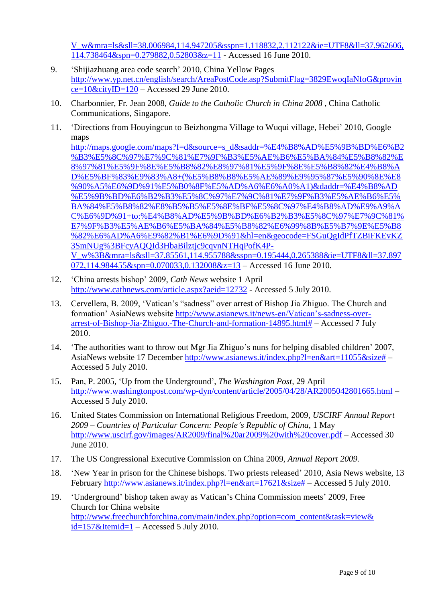[V\\_w&mra=ls&sll=38.006984,114.947205&sspn=1.118832,2.112122&ie=UTF8&ll=37.962606,](http://maps.google.com/maps?f=d&source=s_d&saddr=Shijiazhuang,+Hebei,+China&daddr=%E4%B8%AD%E5%9B%BD%E6%B2%B3%E5%8C%97%E7%9C%81%E7%9F%B3%E5%AE%B6%E5%BA%84%E5%B8%82%E8%B5%B5%E5%8E%BF%E5%8C%97%E4%B8%AD%E9%A9%AC%E6%9D%91&hl=en&geocode=FdB6RAIdsFvTBik9DmKgmN3mNTFQDaTOc79YHA%3BFcyAQQId3HbaBilztjc9cqvnNTHqPofK4P-V_w&mra=ls&sll=38.006984,114.947205&sspn=1.118832,2.112122&ie=UTF8&ll=37.962606,114.738464&spn=0.279882,0.52803&z=11) [114.738464&spn=0.279882,0.52803&z=11](http://maps.google.com/maps?f=d&source=s_d&saddr=Shijiazhuang,+Hebei,+China&daddr=%E4%B8%AD%E5%9B%BD%E6%B2%B3%E5%8C%97%E7%9C%81%E7%9F%B3%E5%AE%B6%E5%BA%84%E5%B8%82%E8%B5%B5%E5%8E%BF%E5%8C%97%E4%B8%AD%E9%A9%AC%E6%9D%91&hl=en&geocode=FdB6RAIdsFvTBik9DmKgmN3mNTFQDaTOc79YHA%3BFcyAQQId3HbaBilztjc9cqvnNTHqPofK4P-V_w&mra=ls&sll=38.006984,114.947205&sspn=1.118832,2.112122&ie=UTF8&ll=37.962606,114.738464&spn=0.279882,0.52803&z=11) - Accessed 16 June 2010.

- 9. "Shijiazhuang area code search" 2010, China Yellow Pages [http://www.yp.net.cn/english/search/AreaPostCode.asp?SubmitFlag=3829EwoqIaNfoG&provin](http://www.yp.net.cn/english/search/AreaPostCode.asp?SubmitFlag=3829EwoqIaNfoG&province=10&cityID=120) [ce=10&cityID=120](http://www.yp.net.cn/english/search/AreaPostCode.asp?SubmitFlag=3829EwoqIaNfoG&province=10&cityID=120) – Accessed 29 June 2010.
- 10. Charbonnier, Fr. Jean 2008, *Guide to the Catholic Church in China 2008* , China Catholic Communications, Singapore.
- 11. "Directions from Houyingcun to Beizhongma Village to Wuqui village, Hebei" 2010, Google maps

[http://maps.google.com/maps?f=d&source=s\\_d&saddr=%E4%B8%AD%E5%9B%BD%E6%B2](http://maps.google.com/maps?f=d&source=s_d&saddr=%E4%B8%AD%E5%9B%BD%E6%B2%B3%E5%8C%97%E7%9C%81%E7%9F%B3%E5%AE%B6%E5%BA%84%E5%B8%82%E8%97%81%E5%9F%8E%E5%B8%82%E8%97%81%E5%9F%8E%E5%B8%82%E4%B8%AD%E5%BF%83%E9%83%A8+(%E5%B8%B8%E5%AE%89%E9%95%87%E5%90%8E%E8%90%A5%E6%9D%91%E5%B0%8F%E5%AD%A6%E6%A0%A1)&daddr=%E4%B8%AD%E5%9B%BD%E6%B2%B3%E5%8C%97%E7%9C%81%E7%9F%B3%E5%AE%B6%E5%BA%84%E5%B8%82%E8%B5%B5%E5%8E%BF%E5%8C%97%E4%B8%AD%E9%A9%AC%E6%9D%91+to:%E4%B8%AD%E5%9B%BD%E6%B2%B3%E5%8C%97%E7%9C%81%E7%9F%B3%E5%AE%B6%E5%BA%84%E5%B8%82%E6%99%8B%E5%B7%9E%E5%B8%82%E6%AD%A6%E9%82%B1%E6%9D%91&hl=en&geocode=FSGuQgIdPfTZBiFKEvKZ3SmNUg%3BFcyAQQId3HbaBilztjc9cqvnNTHqPofK4P-V_w%3B&mra=ls&sll=37.85561,114.955788&sspn=0.195444,0.265388&ie=UTF8&ll=37.897072,114.984455&spn=0.070033,0.132008&z=13) [%B3%E5%8C%97%E7%9C%81%E7%9F%B3%E5%AE%B6%E5%BA%84%E5%B8%82%E](http://maps.google.com/maps?f=d&source=s_d&saddr=%E4%B8%AD%E5%9B%BD%E6%B2%B3%E5%8C%97%E7%9C%81%E7%9F%B3%E5%AE%B6%E5%BA%84%E5%B8%82%E8%97%81%E5%9F%8E%E5%B8%82%E8%97%81%E5%9F%8E%E5%B8%82%E4%B8%AD%E5%BF%83%E9%83%A8+(%E5%B8%B8%E5%AE%89%E9%95%87%E5%90%8E%E8%90%A5%E6%9D%91%E5%B0%8F%E5%AD%A6%E6%A0%A1)&daddr=%E4%B8%AD%E5%9B%BD%E6%B2%B3%E5%8C%97%E7%9C%81%E7%9F%B3%E5%AE%B6%E5%BA%84%E5%B8%82%E8%B5%B5%E5%8E%BF%E5%8C%97%E4%B8%AD%E9%A9%AC%E6%9D%91+to:%E4%B8%AD%E5%9B%BD%E6%B2%B3%E5%8C%97%E7%9C%81%E7%9F%B3%E5%AE%B6%E5%BA%84%E5%B8%82%E6%99%8B%E5%B7%9E%E5%B8%82%E6%AD%A6%E9%82%B1%E6%9D%91&hl=en&geocode=FSGuQgIdPfTZBiFKEvKZ3SmNUg%3BFcyAQQId3HbaBilztjc9cqvnNTHqPofK4P-V_w%3B&mra=ls&sll=37.85561,114.955788&sspn=0.195444,0.265388&ie=UTF8&ll=37.897072,114.984455&spn=0.070033,0.132008&z=13) [8%97%81%E5%9F%8E%E5%B8%82%E8%97%81%E5%9F%8E%E5%B8%82%E4%B8%A](http://maps.google.com/maps?f=d&source=s_d&saddr=%E4%B8%AD%E5%9B%BD%E6%B2%B3%E5%8C%97%E7%9C%81%E7%9F%B3%E5%AE%B6%E5%BA%84%E5%B8%82%E8%97%81%E5%9F%8E%E5%B8%82%E8%97%81%E5%9F%8E%E5%B8%82%E4%B8%AD%E5%BF%83%E9%83%A8+(%E5%B8%B8%E5%AE%89%E9%95%87%E5%90%8E%E8%90%A5%E6%9D%91%E5%B0%8F%E5%AD%A6%E6%A0%A1)&daddr=%E4%B8%AD%E5%9B%BD%E6%B2%B3%E5%8C%97%E7%9C%81%E7%9F%B3%E5%AE%B6%E5%BA%84%E5%B8%82%E8%B5%B5%E5%8E%BF%E5%8C%97%E4%B8%AD%E9%A9%AC%E6%9D%91+to:%E4%B8%AD%E5%9B%BD%E6%B2%B3%E5%8C%97%E7%9C%81%E7%9F%B3%E5%AE%B6%E5%BA%84%E5%B8%82%E6%99%8B%E5%B7%9E%E5%B8%82%E6%AD%A6%E9%82%B1%E6%9D%91&hl=en&geocode=FSGuQgIdPfTZBiFKEvKZ3SmNUg%3BFcyAQQId3HbaBilztjc9cqvnNTHqPofK4P-V_w%3B&mra=ls&sll=37.85561,114.955788&sspn=0.195444,0.265388&ie=UTF8&ll=37.897072,114.984455&spn=0.070033,0.132008&z=13) [D%E5%BF%83%E9%83%A8+\(%E5%B8%B8%E5%AE%89%E9%95%87%E5%90%8E%E8](http://maps.google.com/maps?f=d&source=s_d&saddr=%E4%B8%AD%E5%9B%BD%E6%B2%B3%E5%8C%97%E7%9C%81%E7%9F%B3%E5%AE%B6%E5%BA%84%E5%B8%82%E8%97%81%E5%9F%8E%E5%B8%82%E8%97%81%E5%9F%8E%E5%B8%82%E4%B8%AD%E5%BF%83%E9%83%A8+(%E5%B8%B8%E5%AE%89%E9%95%87%E5%90%8E%E8%90%A5%E6%9D%91%E5%B0%8F%E5%AD%A6%E6%A0%A1)&daddr=%E4%B8%AD%E5%9B%BD%E6%B2%B3%E5%8C%97%E7%9C%81%E7%9F%B3%E5%AE%B6%E5%BA%84%E5%B8%82%E8%B5%B5%E5%8E%BF%E5%8C%97%E4%B8%AD%E9%A9%AC%E6%9D%91+to:%E4%B8%AD%E5%9B%BD%E6%B2%B3%E5%8C%97%E7%9C%81%E7%9F%B3%E5%AE%B6%E5%BA%84%E5%B8%82%E6%99%8B%E5%B7%9E%E5%B8%82%E6%AD%A6%E9%82%B1%E6%9D%91&hl=en&geocode=FSGuQgIdPfTZBiFKEvKZ3SmNUg%3BFcyAQQId3HbaBilztjc9cqvnNTHqPofK4P-V_w%3B&mra=ls&sll=37.85561,114.955788&sspn=0.195444,0.265388&ie=UTF8&ll=37.897072,114.984455&spn=0.070033,0.132008&z=13) [%90%A5%E6%9D%91%E5%B0%8F%E5%AD%A6%E6%A0%A1\)&daddr=%E4%B8%AD](http://maps.google.com/maps?f=d&source=s_d&saddr=%E4%B8%AD%E5%9B%BD%E6%B2%B3%E5%8C%97%E7%9C%81%E7%9F%B3%E5%AE%B6%E5%BA%84%E5%B8%82%E8%97%81%E5%9F%8E%E5%B8%82%E8%97%81%E5%9F%8E%E5%B8%82%E4%B8%AD%E5%BF%83%E9%83%A8+(%E5%B8%B8%E5%AE%89%E9%95%87%E5%90%8E%E8%90%A5%E6%9D%91%E5%B0%8F%E5%AD%A6%E6%A0%A1)&daddr=%E4%B8%AD%E5%9B%BD%E6%B2%B3%E5%8C%97%E7%9C%81%E7%9F%B3%E5%AE%B6%E5%BA%84%E5%B8%82%E8%B5%B5%E5%8E%BF%E5%8C%97%E4%B8%AD%E9%A9%AC%E6%9D%91+to:%E4%B8%AD%E5%9B%BD%E6%B2%B3%E5%8C%97%E7%9C%81%E7%9F%B3%E5%AE%B6%E5%BA%84%E5%B8%82%E6%99%8B%E5%B7%9E%E5%B8%82%E6%AD%A6%E9%82%B1%E6%9D%91&hl=en&geocode=FSGuQgIdPfTZBiFKEvKZ3SmNUg%3BFcyAQQId3HbaBilztjc9cqvnNTHqPofK4P-V_w%3B&mra=ls&sll=37.85561,114.955788&sspn=0.195444,0.265388&ie=UTF8&ll=37.897072,114.984455&spn=0.070033,0.132008&z=13) [%E5%9B%BD%E6%B2%B3%E5%8C%97%E7%9C%81%E7%9F%B3%E5%AE%B6%E5%](http://maps.google.com/maps?f=d&source=s_d&saddr=%E4%B8%AD%E5%9B%BD%E6%B2%B3%E5%8C%97%E7%9C%81%E7%9F%B3%E5%AE%B6%E5%BA%84%E5%B8%82%E8%97%81%E5%9F%8E%E5%B8%82%E8%97%81%E5%9F%8E%E5%B8%82%E4%B8%AD%E5%BF%83%E9%83%A8+(%E5%B8%B8%E5%AE%89%E9%95%87%E5%90%8E%E8%90%A5%E6%9D%91%E5%B0%8F%E5%AD%A6%E6%A0%A1)&daddr=%E4%B8%AD%E5%9B%BD%E6%B2%B3%E5%8C%97%E7%9C%81%E7%9F%B3%E5%AE%B6%E5%BA%84%E5%B8%82%E8%B5%B5%E5%8E%BF%E5%8C%97%E4%B8%AD%E9%A9%AC%E6%9D%91+to:%E4%B8%AD%E5%9B%BD%E6%B2%B3%E5%8C%97%E7%9C%81%E7%9F%B3%E5%AE%B6%E5%BA%84%E5%B8%82%E6%99%8B%E5%B7%9E%E5%B8%82%E6%AD%A6%E9%82%B1%E6%9D%91&hl=en&geocode=FSGuQgIdPfTZBiFKEvKZ3SmNUg%3BFcyAQQId3HbaBilztjc9cqvnNTHqPofK4P-V_w%3B&mra=ls&sll=37.85561,114.955788&sspn=0.195444,0.265388&ie=UTF8&ll=37.897072,114.984455&spn=0.070033,0.132008&z=13) [BA%84%E5%B8%82%E8%B5%B5%E5%8E%BF%E5%8C%97%E4%B8%AD%E9%A9%A](http://maps.google.com/maps?f=d&source=s_d&saddr=%E4%B8%AD%E5%9B%BD%E6%B2%B3%E5%8C%97%E7%9C%81%E7%9F%B3%E5%AE%B6%E5%BA%84%E5%B8%82%E8%97%81%E5%9F%8E%E5%B8%82%E8%97%81%E5%9F%8E%E5%B8%82%E4%B8%AD%E5%BF%83%E9%83%A8+(%E5%B8%B8%E5%AE%89%E9%95%87%E5%90%8E%E8%90%A5%E6%9D%91%E5%B0%8F%E5%AD%A6%E6%A0%A1)&daddr=%E4%B8%AD%E5%9B%BD%E6%B2%B3%E5%8C%97%E7%9C%81%E7%9F%B3%E5%AE%B6%E5%BA%84%E5%B8%82%E8%B5%B5%E5%8E%BF%E5%8C%97%E4%B8%AD%E9%A9%AC%E6%9D%91+to:%E4%B8%AD%E5%9B%BD%E6%B2%B3%E5%8C%97%E7%9C%81%E7%9F%B3%E5%AE%B6%E5%BA%84%E5%B8%82%E6%99%8B%E5%B7%9E%E5%B8%82%E6%AD%A6%E9%82%B1%E6%9D%91&hl=en&geocode=FSGuQgIdPfTZBiFKEvKZ3SmNUg%3BFcyAQQId3HbaBilztjc9cqvnNTHqPofK4P-V_w%3B&mra=ls&sll=37.85561,114.955788&sspn=0.195444,0.265388&ie=UTF8&ll=37.897072,114.984455&spn=0.070033,0.132008&z=13) [C%E6%9D%91+to:%E4%B8%AD%E5%9B%BD%E6%B2%B3%E5%8C%97%E7%9C%81%](http://maps.google.com/maps?f=d&source=s_d&saddr=%E4%B8%AD%E5%9B%BD%E6%B2%B3%E5%8C%97%E7%9C%81%E7%9F%B3%E5%AE%B6%E5%BA%84%E5%B8%82%E8%97%81%E5%9F%8E%E5%B8%82%E8%97%81%E5%9F%8E%E5%B8%82%E4%B8%AD%E5%BF%83%E9%83%A8+(%E5%B8%B8%E5%AE%89%E9%95%87%E5%90%8E%E8%90%A5%E6%9D%91%E5%B0%8F%E5%AD%A6%E6%A0%A1)&daddr=%E4%B8%AD%E5%9B%BD%E6%B2%B3%E5%8C%97%E7%9C%81%E7%9F%B3%E5%AE%B6%E5%BA%84%E5%B8%82%E8%B5%B5%E5%8E%BF%E5%8C%97%E4%B8%AD%E9%A9%AC%E6%9D%91+to:%E4%B8%AD%E5%9B%BD%E6%B2%B3%E5%8C%97%E7%9C%81%E7%9F%B3%E5%AE%B6%E5%BA%84%E5%B8%82%E6%99%8B%E5%B7%9E%E5%B8%82%E6%AD%A6%E9%82%B1%E6%9D%91&hl=en&geocode=FSGuQgIdPfTZBiFKEvKZ3SmNUg%3BFcyAQQId3HbaBilztjc9cqvnNTHqPofK4P-V_w%3B&mra=ls&sll=37.85561,114.955788&sspn=0.195444,0.265388&ie=UTF8&ll=37.897072,114.984455&spn=0.070033,0.132008&z=13) [E7%9F%B3%E5%AE%B6%E5%BA%84%E5%B8%82%E6%99%8B%E5%B7%9E%E5%B8](http://maps.google.com/maps?f=d&source=s_d&saddr=%E4%B8%AD%E5%9B%BD%E6%B2%B3%E5%8C%97%E7%9C%81%E7%9F%B3%E5%AE%B6%E5%BA%84%E5%B8%82%E8%97%81%E5%9F%8E%E5%B8%82%E8%97%81%E5%9F%8E%E5%B8%82%E4%B8%AD%E5%BF%83%E9%83%A8+(%E5%B8%B8%E5%AE%89%E9%95%87%E5%90%8E%E8%90%A5%E6%9D%91%E5%B0%8F%E5%AD%A6%E6%A0%A1)&daddr=%E4%B8%AD%E5%9B%BD%E6%B2%B3%E5%8C%97%E7%9C%81%E7%9F%B3%E5%AE%B6%E5%BA%84%E5%B8%82%E8%B5%B5%E5%8E%BF%E5%8C%97%E4%B8%AD%E9%A9%AC%E6%9D%91+to:%E4%B8%AD%E5%9B%BD%E6%B2%B3%E5%8C%97%E7%9C%81%E7%9F%B3%E5%AE%B6%E5%BA%84%E5%B8%82%E6%99%8B%E5%B7%9E%E5%B8%82%E6%AD%A6%E9%82%B1%E6%9D%91&hl=en&geocode=FSGuQgIdPfTZBiFKEvKZ3SmNUg%3BFcyAQQId3HbaBilztjc9cqvnNTHqPofK4P-V_w%3B&mra=ls&sll=37.85561,114.955788&sspn=0.195444,0.265388&ie=UTF8&ll=37.897072,114.984455&spn=0.070033,0.132008&z=13) [%82%E6%AD%A6%E9%82%B1%E6%9D%91&hl=en&geocode=FSGuQgIdPfTZBiFKEvKZ](http://maps.google.com/maps?f=d&source=s_d&saddr=%E4%B8%AD%E5%9B%BD%E6%B2%B3%E5%8C%97%E7%9C%81%E7%9F%B3%E5%AE%B6%E5%BA%84%E5%B8%82%E8%97%81%E5%9F%8E%E5%B8%82%E8%97%81%E5%9F%8E%E5%B8%82%E4%B8%AD%E5%BF%83%E9%83%A8+(%E5%B8%B8%E5%AE%89%E9%95%87%E5%90%8E%E8%90%A5%E6%9D%91%E5%B0%8F%E5%AD%A6%E6%A0%A1)&daddr=%E4%B8%AD%E5%9B%BD%E6%B2%B3%E5%8C%97%E7%9C%81%E7%9F%B3%E5%AE%B6%E5%BA%84%E5%B8%82%E8%B5%B5%E5%8E%BF%E5%8C%97%E4%B8%AD%E9%A9%AC%E6%9D%91+to:%E4%B8%AD%E5%9B%BD%E6%B2%B3%E5%8C%97%E7%9C%81%E7%9F%B3%E5%AE%B6%E5%BA%84%E5%B8%82%E6%99%8B%E5%B7%9E%E5%B8%82%E6%AD%A6%E9%82%B1%E6%9D%91&hl=en&geocode=FSGuQgIdPfTZBiFKEvKZ3SmNUg%3BFcyAQQId3HbaBilztjc9cqvnNTHqPofK4P-V_w%3B&mra=ls&sll=37.85561,114.955788&sspn=0.195444,0.265388&ie=UTF8&ll=37.897072,114.984455&spn=0.070033,0.132008&z=13) [3SmNUg%3BFcyAQQId3HbaBilztjc9cqvnNTHqPofK4P-](http://maps.google.com/maps?f=d&source=s_d&saddr=%E4%B8%AD%E5%9B%BD%E6%B2%B3%E5%8C%97%E7%9C%81%E7%9F%B3%E5%AE%B6%E5%BA%84%E5%B8%82%E8%97%81%E5%9F%8E%E5%B8%82%E8%97%81%E5%9F%8E%E5%B8%82%E4%B8%AD%E5%BF%83%E9%83%A8+(%E5%B8%B8%E5%AE%89%E9%95%87%E5%90%8E%E8%90%A5%E6%9D%91%E5%B0%8F%E5%AD%A6%E6%A0%A1)&daddr=%E4%B8%AD%E5%9B%BD%E6%B2%B3%E5%8C%97%E7%9C%81%E7%9F%B3%E5%AE%B6%E5%BA%84%E5%B8%82%E8%B5%B5%E5%8E%BF%E5%8C%97%E4%B8%AD%E9%A9%AC%E6%9D%91+to:%E4%B8%AD%E5%9B%BD%E6%B2%B3%E5%8C%97%E7%9C%81%E7%9F%B3%E5%AE%B6%E5%BA%84%E5%B8%82%E6%99%8B%E5%B7%9E%E5%B8%82%E6%AD%A6%E9%82%B1%E6%9D%91&hl=en&geocode=FSGuQgIdPfTZBiFKEvKZ3SmNUg%3BFcyAQQId3HbaBilztjc9cqvnNTHqPofK4P-V_w%3B&mra=ls&sll=37.85561,114.955788&sspn=0.195444,0.265388&ie=UTF8&ll=37.897072,114.984455&spn=0.070033,0.132008&z=13)[V\\_w%3B&mra=ls&sll=37.85561,114.955788&sspn=0.195444,0.265388&ie=UTF8&ll=37.897](http://maps.google.com/maps?f=d&source=s_d&saddr=%E4%B8%AD%E5%9B%BD%E6%B2%B3%E5%8C%97%E7%9C%81%E7%9F%B3%E5%AE%B6%E5%BA%84%E5%B8%82%E8%97%81%E5%9F%8E%E5%B8%82%E8%97%81%E5%9F%8E%E5%B8%82%E4%B8%AD%E5%BF%83%E9%83%A8+(%E5%B8%B8%E5%AE%89%E9%95%87%E5%90%8E%E8%90%A5%E6%9D%91%E5%B0%8F%E5%AD%A6%E6%A0%A1)&daddr=%E4%B8%AD%E5%9B%BD%E6%B2%B3%E5%8C%97%E7%9C%81%E7%9F%B3%E5%AE%B6%E5%BA%84%E5%B8%82%E8%B5%B5%E5%8E%BF%E5%8C%97%E4%B8%AD%E9%A9%AC%E6%9D%91+to:%E4%B8%AD%E5%9B%BD%E6%B2%B3%E5%8C%97%E7%9C%81%E7%9F%B3%E5%AE%B6%E5%BA%84%E5%B8%82%E6%99%8B%E5%B7%9E%E5%B8%82%E6%AD%A6%E9%82%B1%E6%9D%91&hl=en&geocode=FSGuQgIdPfTZBiFKEvKZ3SmNUg%3BFcyAQQId3HbaBilztjc9cqvnNTHqPofK4P-V_w%3B&mra=ls&sll=37.85561,114.955788&sspn=0.195444,0.265388&ie=UTF8&ll=37.897072,114.984455&spn=0.070033,0.132008&z=13) [072,114.984455&spn=0.070033,0.132008&z=13](http://maps.google.com/maps?f=d&source=s_d&saddr=%E4%B8%AD%E5%9B%BD%E6%B2%B3%E5%8C%97%E7%9C%81%E7%9F%B3%E5%AE%B6%E5%BA%84%E5%B8%82%E8%97%81%E5%9F%8E%E5%B8%82%E8%97%81%E5%9F%8E%E5%B8%82%E4%B8%AD%E5%BF%83%E9%83%A8+(%E5%B8%B8%E5%AE%89%E9%95%87%E5%90%8E%E8%90%A5%E6%9D%91%E5%B0%8F%E5%AD%A6%E6%A0%A1)&daddr=%E4%B8%AD%E5%9B%BD%E6%B2%B3%E5%8C%97%E7%9C%81%E7%9F%B3%E5%AE%B6%E5%BA%84%E5%B8%82%E8%B5%B5%E5%8E%BF%E5%8C%97%E4%B8%AD%E9%A9%AC%E6%9D%91+to:%E4%B8%AD%E5%9B%BD%E6%B2%B3%E5%8C%97%E7%9C%81%E7%9F%B3%E5%AE%B6%E5%BA%84%E5%B8%82%E6%99%8B%E5%B7%9E%E5%B8%82%E6%AD%A6%E9%82%B1%E6%9D%91&hl=en&geocode=FSGuQgIdPfTZBiFKEvKZ3SmNUg%3BFcyAQQId3HbaBilztjc9cqvnNTHqPofK4P-V_w%3B&mra=ls&sll=37.85561,114.955788&sspn=0.195444,0.265388&ie=UTF8&ll=37.897072,114.984455&spn=0.070033,0.132008&z=13) – Accessed 16 June 2010.

- 12. "China arrests bishop" 2009, *Cath News* website 1 April http://www.cathnews.com/article.aspx?aeid=12732 - Accessed 5 July 2010.
- 13. Cervellera, B. 2009, "Vatican"s "sadness" over arrest of Bishop Jia Zhiguo. The Church and formation" AsiaNews website [http://www.asianews.it/news-en/Vatican"s-sadness-over](http://www.asianews.it/news-en/Vatican)[arrest-of-Bishop-Jia-Zhiguo.-The-Church-and-formation-14895.html#](http://www.asianews.it/news-en/Vatican) – Accessed 7 July 2010.
- 14. "The authorities want to throw out Mgr Jia Zhiguo"s nuns for helping disabled children" 2007, AsiaNews website 17 December [http://www.asianews.it/index.php?l=en&art=11055&size#](http://www.asianews.it/index.php?l=en&art=11055&size) – Accessed 5 July 2010.
- 15. Pan, P. 2005, "Up from the Underground", *The Washington Post,* 29 April <http://www.washingtonpost.com/wp-dyn/content/article/2005/04/28/AR2005042801665.html> – Accessed 5 July 2010.
- 16. United States Commission on International Religious Freedom, 2009, *USCIRF Annual Report 2009 – Countries of Particular Concern: People's Republic of China*, 1 May <http://www.uscirf.gov/images/AR2009/final%20ar2009%20with%20cover.pdf> – Accessed 30 June 2010.
- 17. The US Congressional Executive Commission on China 2009, *Annual Report 2009.*
- 18. "New Year in prison for the Chinese bishops. Two priests released" 2010, Asia News website, 13 February [http://www.asianews.it/index.php?l=en&art=17621&size#](http://www.asianews.it/index.php?l=en&art=17621&size) – Accessed 5 July 2010.
- 19. "Underground" bishop taken away as Vatican"s China Commission meets" 2009, Free Church for China website [http://www.freechurchforchina.com/main/index.php?option=com\\_content&task=view&](http://www.freechurchforchina.com/main/index.php?option=com_content&task=view&id=157&Itemid=1)  $id=157\&$ Itemid=1 – Accessed 5 July 2010.